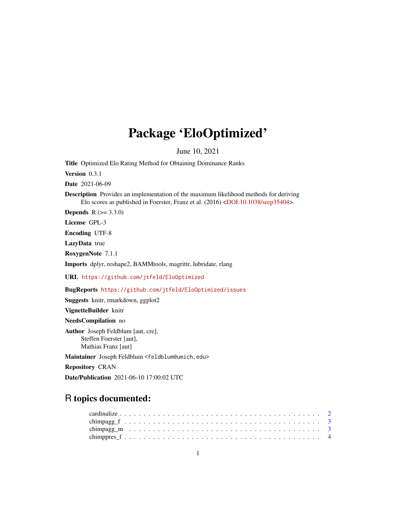# Package 'EloOptimized'

June 10, 2021

<span id="page-0-0"></span>Title Optimized Elo Rating Method for Obtaining Dominance Ranks

Version 0.3.1

Date 2021-06-09

Description Provides an implementation of the maximum likelihood methods for deriving Elo scores as published in Foerster, Franz et al. (2016) [<DOI:10.1038/srep35404>](https://doi.org/10.1038/srep35404).

**Depends**  $R (= 3.3.0)$ 

License GPL-3

Encoding UTF-8

LazyData true

RoxygenNote 7.1.1

Imports dplyr, reshape2, BAMMtools, magrittr, lubridate, rlang

URL <https://github.com/jtfeld/EloOptimized>

BugReports <https://github.com/jtfeld/EloOptimized/issues>

Suggests knitr, rmarkdown, ggplot2

VignetteBuilder knitr

NeedsCompilation no

Author Joseph Feldblum [aut, cre], Steffen Foerster [aut], Mathias Franz [aut]

Maintainer Joseph Feldblum <feldblum@umich.edu>

Repository CRAN

Date/Publication 2021-06-10 17:00:02 UTC

# R topics documented: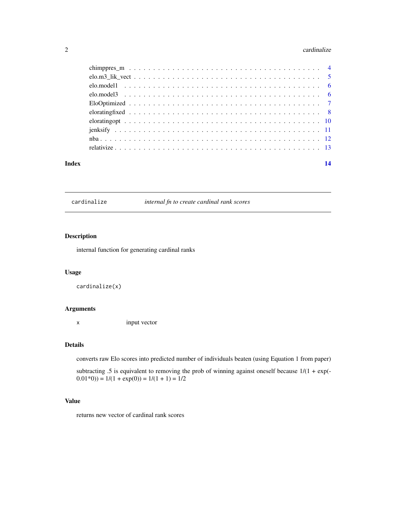#### <span id="page-1-0"></span> $2 \cos \theta$  cardinalize

| Index | 14 |
|-------|----|
|       |    |
|       |    |
|       |    |
|       |    |
|       |    |
|       |    |
|       |    |
|       |    |
|       |    |
|       |    |

cardinalize *internal fn to create cardinal rank scores*

# Description

internal function for generating cardinal ranks

#### Usage

cardinalize(x)

# Arguments

x input vector

# Details

converts raw Elo scores into predicted number of individuals beaten (using Equation 1 from paper)

subtracting .5 is equivalent to removing the prob of winning against oneself because  $1/(1 + \exp(-\epsilon))$  $(0.01*0)) = 1/(1 + \exp(0)) = 1/(1 + 1) = 1/2$ 

# Value

returns new vector of cardinal rank scores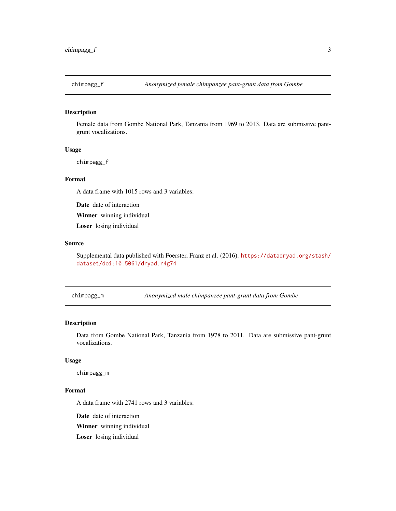<span id="page-2-0"></span>

Female data from Gombe National Park, Tanzania from 1969 to 2013. Data are submissive pantgrunt vocalizations.

# Usage

chimpagg\_f

# Format

A data frame with 1015 rows and 3 variables:

Date date of interaction

Winner winning individual

Loser losing individual

#### Source

Supplemental data published with Foerster, Franz et al. (2016). [https://datadryad.org/stash/](https://datadryad.org/stash/dataset/doi:10.5061/dryad.r4g74) [dataset/doi:10.5061/dryad.r4g74](https://datadryad.org/stash/dataset/doi:10.5061/dryad.r4g74)

chimpagg\_m *Anonymized male chimpanzee pant-grunt data from Gombe*

# Description

Data from Gombe National Park, Tanzania from 1978 to 2011. Data are submissive pant-grunt vocalizations.

#### Usage

chimpagg\_m

#### Format

A data frame with 2741 rows and 3 variables:

Date date of interaction

Winner winning individual

Loser losing individual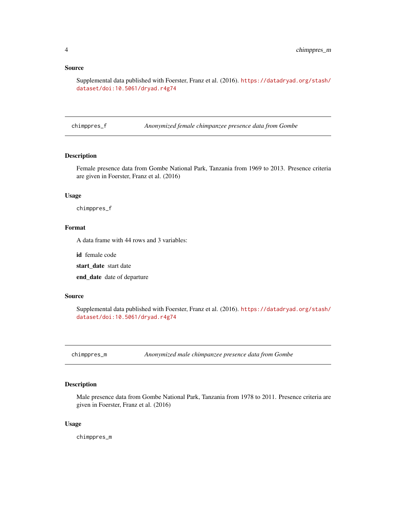#### <span id="page-3-0"></span>Source

Supplemental data published with Foerster, Franz et al. (2016). [https://datadryad.org/stash/](https://datadryad.org/stash/dataset/doi:10.5061/dryad.r4g74) [dataset/doi:10.5061/dryad.r4g74](https://datadryad.org/stash/dataset/doi:10.5061/dryad.r4g74)

chimppres\_f *Anonymized female chimpanzee presence data from Gombe*

# Description

Female presence data from Gombe National Park, Tanzania from 1969 to 2013. Presence criteria are given in Foerster, Franz et al. (2016)

#### Usage

chimppres\_f

# Format

A data frame with 44 rows and 3 variables:

id female code

start\_date start date

end\_date date of departure

#### Source

Supplemental data published with Foerster, Franz et al. (2016). [https://datadryad.org/stash/](https://datadryad.org/stash/dataset/doi:10.5061/dryad.r4g74) [dataset/doi:10.5061/dryad.r4g74](https://datadryad.org/stash/dataset/doi:10.5061/dryad.r4g74)

chimppres\_m *Anonymized male chimpanzee presence data from Gombe*

# Description

Male presence data from Gombe National Park, Tanzania from 1978 to 2011. Presence criteria are given in Foerster, Franz et al. (2016)

#### Usage

chimppres\_m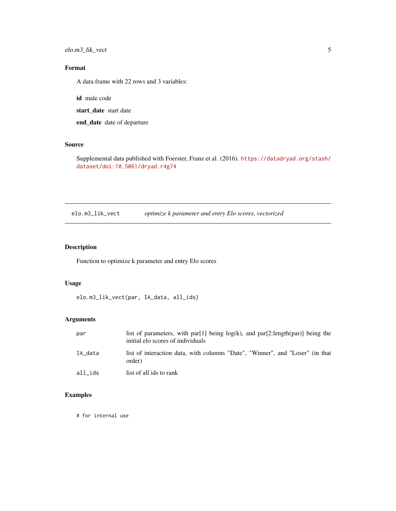<span id="page-4-0"></span>elo.m3\_lik\_vect 5

# Format

A data frame with 22 rows and 3 variables:

id male code

start\_date start date

end\_date date of departure

#### Source

Supplemental data published with Foerster, Franz et al. (2016). [https://datadryad.org/stash/](https://datadryad.org/stash/dataset/doi:10.5061/dryad.r4g74) [dataset/doi:10.5061/dryad.r4g74](https://datadryad.org/stash/dataset/doi:10.5061/dryad.r4g74)

<span id="page-4-1"></span>elo.m3\_lik\_vect *optimize k parameter and entry Elo scores, vectorized*

# Description

Function to optimize k parameter and entry Elo scores

# Usage

elo.m3\_lik\_vect(par, IA\_data, all\_ids)

# Arguments

| par     | list of parameters, with par[1] being $log(k)$ , and par[2:length(par)] being the<br>initial elo scores of individuals |
|---------|------------------------------------------------------------------------------------------------------------------------|
| IA data | list of interaction data, with columns "Date", "Winner", and "Loser" (in that<br>order)                                |
| all ids | list of all ids to rank                                                                                                |

# Examples

# for internal use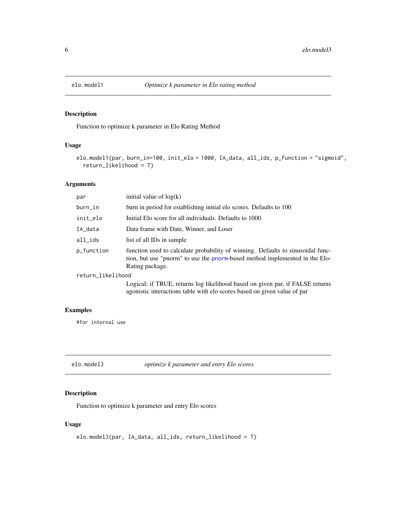<span id="page-5-1"></span><span id="page-5-0"></span>

Function to optimize k parameter in Elo Rating Method

# Usage

```
elo.model1(par, burn_in=100, init_elo = 1000, IA_data, all_ids, p_function = "sigmoid",
  return_likelihood = T)
```
# Arguments

| par               | initial value of $log(k)$                                                                                                                                                         |
|-------------------|-----------------------------------------------------------------------------------------------------------------------------------------------------------------------------------|
| burn_in           | burn in period for establishing initial elo scores. Defaults to 100                                                                                                               |
| init_elo          | Initial Elo score for all individuals. Defaults to 1000                                                                                                                           |
| IA_data           | Data frame with Date, Winner, and Loser                                                                                                                                           |
| all_ids           | list of all IDs in sample                                                                                                                                                         |
| p_function        | function used to calculate probability of winning. Defaults to sinusoidal func-<br>tion, but use "pnorm" to use the pnorm-based method implemented in the Elo-<br>Rating package. |
| return_likelihood |                                                                                                                                                                                   |
|                   | Logical; if TRUE, returns log likelihood based on given par, if FALSE returns<br>agonistic interactions table with elo scores based on given value of par                         |

#### Examples

#for internal use

<span id="page-5-2"></span>elo.model3 *optimize k parameter and entry Elo scores*

# Description

Function to optimize k parameter and entry Elo scores

#### Usage

```
elo.model3(par, IA_data, all_ids, return_likelihood = T)
```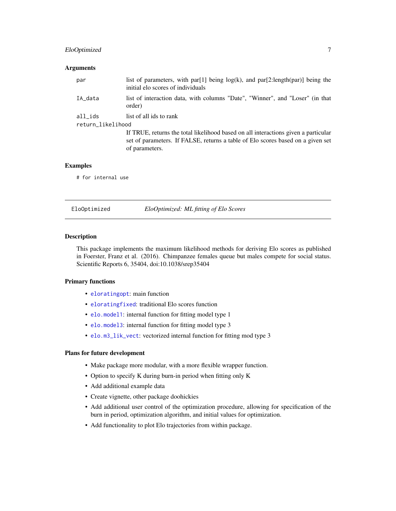#### <span id="page-6-0"></span>EloOptimized 7

#### **Arguments**

| par                          | list of parameters, with par[1] being $log(k)$ , and par[2:length(par)] being the<br>initial elo scores of individuals                                                                                             |
|------------------------------|--------------------------------------------------------------------------------------------------------------------------------------------------------------------------------------------------------------------|
| IA data                      | list of interaction data, with columns "Date", "Winner", and "Loser" (in that<br>order)                                                                                                                            |
| all_ids<br>return_likelihood | list of all ids to rank<br>If TRUE, returns the total likelihood based on all interactions given a particular<br>set of parameters. If FALSE, returns a table of Elo scores based on a given set<br>of parameters. |

#### Examples

# for internal use

EloOptimized *EloOptimized: ML fitting of Elo Scores*

#### Description

This package implements the maximum likelihood methods for deriving Elo scores as published in Foerster, Franz et al. (2016). Chimpanzee females queue but males compete for social status. Scientific Reports 6, 35404, doi:10.1038/srep35404

#### Primary functions

- [eloratingopt](#page-9-1): main function
- [eloratingfixed](#page-7-1): traditional Elo scores function
- [elo.model1](#page-5-1): internal function for fitting model type 1
- [elo.model3](#page-5-2): internal function for fitting model type 3
- [elo.m3\\_lik\\_vect](#page-4-1): vectorized internal function for fitting mod type 3

#### Plans for future development

- Make package more modular, with a more flexible wrapper function.
- Option to specify K during burn-in period when fitting only K
- Add additional example data
- Create vignette, other package doohickies
- Add additional user control of the optimization procedure, allowing for specification of the burn in period, optimization algorithm, and initial values for optimization.
- Add functionality to plot Elo trajectories from within package.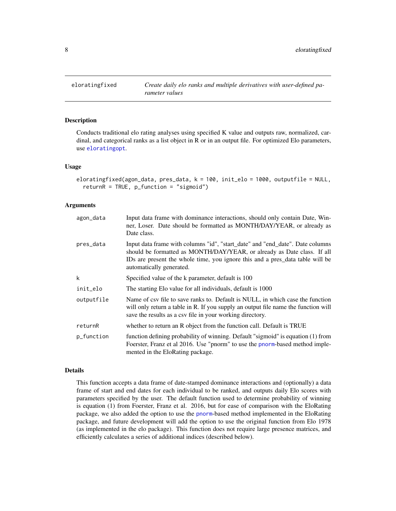Conducts traditional elo rating analyses using specified K value and outputs raw, normalized, cardinal, and categorical ranks as a list object in R or in an output file. For optimized Elo parameters, use [eloratingopt](#page-9-1).

#### Usage

```
eloratingfixed(agon_data, pres_data, k = 100, init_elo = 1000, outputfile = NULL,
  returnR = TRUE, p_function = "sigmoid")
```
#### Arguments

| agon_data  | Input data frame with dominance interactions, should only contain Date, Win-<br>ner, Loser. Date should be formatted as MONTH/DAY/YEAR, or already as<br>Date class.                                                                                                  |
|------------|-----------------------------------------------------------------------------------------------------------------------------------------------------------------------------------------------------------------------------------------------------------------------|
| pres_data  | Input data frame with columns "id", "start_date" and "end_date". Date columns<br>should be formatted as MONTH/DAY/YEAR, or already as Date class. If all<br>IDs are present the whole time, you ignore this and a pres_data table will be<br>automatically generated. |
| k          | Specified value of the k parameter, default is 100                                                                                                                                                                                                                    |
| init_elo   | The starting Elo value for all individuals, default is 1000                                                                                                                                                                                                           |
| outputfile | Name of csv file to save ranks to. Default is NULL, in which case the function<br>will only return a table in R. If you supply an output file name the function will<br>save the results as a csy file in your working directory.                                     |
| returnR    | whether to return an R object from the function call. Default is TRUE                                                                                                                                                                                                 |
| p_function | function defining probability of winning. Default "sigmoid" is equation (1) from<br>Foerster, Franz et al 2016. Use "pnorm" to use the pnorm-based method imple-<br>mented in the EloRating package.                                                                  |

### Details

This function accepts a data frame of date-stamped dominance interactions and (optionally) a data frame of start and end dates for each individual to be ranked, and outputs daily Elo scores with parameters specified by the user. The default function used to determine probability of winning is equation (1) from Foerster, Franz et al. 2016, but for ease of comparison with the EloRating package, we also added the option to use the [pnorm](#page-0-0)-based method implemented in the EloRating package, and future development will add the option to use the original function from Elo 1978 (as implemented in the elo package). This function does not require large presence matrices, and efficiently calculates a series of additional indices (described below).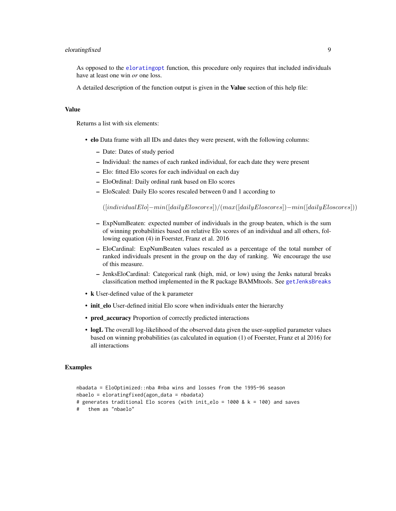# <span id="page-8-0"></span>eloratingfixed 9

As opposed to the [eloratingopt](#page-9-1) function, this procedure only requires that included individuals have at least one win *or* one loss.

A detailed description of the function output is given in the Value section of this help file:

# Value

Returns a list with six elements:

- elo Data frame with all IDs and dates they were present, with the following columns:
	- Date: Dates of study period
	- Individual: the names of each ranked individual, for each date they were present
	- Elo: fitted Elo scores for each individual on each day
	- EloOrdinal: Daily ordinal rank based on Elo scores
	- EloScaled: Daily Elo scores rescaled between 0 and 1 according to

 $([individualElo] - min([dailyEloscores])/(max([dailyEloscores]) - min([dailyEloscores]))$ 

- ExpNumBeaten: expected number of individuals in the group beaten, which is the sum of winning probabilities based on relative Elo scores of an individual and all others, following equation (4) in Foerster, Franz et al. 2016
- EloCardinal: ExpNumBeaten values rescaled as a percentage of the total number of ranked individuals present in the group on the day of ranking. We encourage the use of this measure.
- JenksEloCardinal: Categorical rank (high, mid, or low) using the Jenks natural breaks classification method implemented in the R package BAMMtools. See [getJenksBreaks](#page-0-0)
- k User-defined value of the k parameter
- init\_elo User-defined initial Elo score when individuals enter the hierarchy
- pred\_accuracy Proportion of correctly predicted interactions
- logL The overall log-likelihood of the observed data given the user-supplied parameter values based on winning probabilities (as calculated in equation (1) of Foerster, Franz et al 2016) for all interactions

#### Examples

```
nbadata = EloOptimized::nba #nba wins and losses from the 1995-96 season
nbaelo = eloratingfixed(agon_data = nbadata)
# generates traditional Elo scores (with init_elo = 1000 & k = 100) and saves
   them as "nbaelo"
```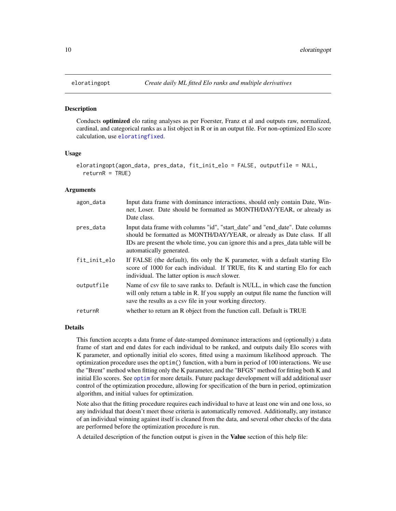Conducts optimized elo rating analyses as per Foerster, Franz et al and outputs raw, normalized, cardinal, and categorical ranks as a list object in R or in an output file. For non-optimized Elo score calculation, use [eloratingfixed](#page-7-1).

#### Usage

```
eloratingopt(agon_data, pres_data, fit_init_elo = FALSE, outputfile = NULL,
  returnR = TRUE)
```
#### Arguments

| agon_data    | Input data frame with dominance interactions, should only contain Date, Win-<br>ner, Loser. Date should be formatted as MONTH/DAY/YEAR, or already as<br>Date class.                                                                                                      |
|--------------|---------------------------------------------------------------------------------------------------------------------------------------------------------------------------------------------------------------------------------------------------------------------------|
| pres_data    | Input data frame with columns "id", "start_date" and "end_date". Date columns<br>should be formatted as MONTH/DAY/YEAR, or already as Date class. If all<br>IDs are present the whole time, you can ignore this and a pres_data table will be<br>automatically generated. |
| fit_init_elo | If FALSE (the default), fits only the K parameter, with a default starting Elo<br>score of 1000 for each individual. If TRUE, fits K and starting Elo for each<br>individual. The latter option is <i>much</i> slower.                                                    |
| outputfile   | Name of csy file to save ranks to. Default is NULL, in which case the function<br>will only return a table in R. If you supply an output file name the function will<br>save the results as a csy file in your working directory.                                         |
| returnR      | whether to return an R object from the function call. Default is TRUE                                                                                                                                                                                                     |

#### Details

This function accepts a data frame of date-stamped dominance interactions and (optionally) a data frame of start and end dates for each individual to be ranked, and outputs daily Elo scores with K parameter, and optionally initial elo scores, fitted using a maximum likelihood approach. The optimization procedure uses the optim() function, with a burn in period of 100 interactions. We use the "Brent" method when fitting only the K parameter, and the "BFGS" method for fitting both K and initial Elo scores. See [optim](#page-0-0) for more details. Future package development will add additional user control of the optimization procedure, allowing for specification of the burn in period, optimization algorithm, and initial values for optimization.

Note also that the fitting procedure requires each individual to have at least one win and one loss, so any individual that doesn't meet those criteria is automatically removed. Additionally, any instance of an individual winning against itself is cleaned from the data, and several other checks of the data are performed before the optimization procedure is run.

A detailed description of the function output is given in the **Value** section of this help file: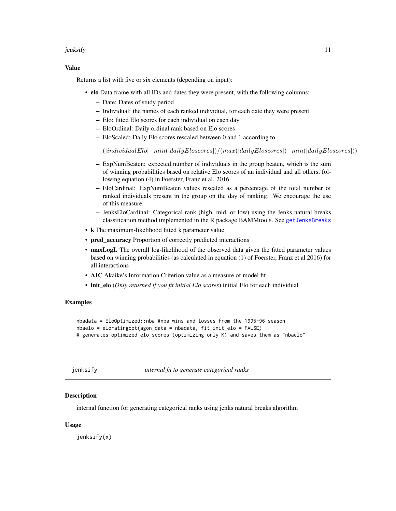#### <span id="page-10-0"></span>jenksify the state of the state of the state of the state of the state of the state of the state of the state o

### Value

Returns a list with five or six elements (depending on input):

- elo Data frame with all IDs and dates they were present, with the following columns:
	- Date: Dates of study period
	- Individual: the names of each ranked individual, for each date they were present
	- Elo: fitted Elo scores for each individual on each day
	- EloOrdinal: Daily ordinal rank based on Elo scores
	- EloScaled: Daily Elo scores rescaled between 0 and 1 according to

([individualElo]−min([dailyEloscores])/(max([dailyEloscores])−min([dailyEloscores]))

- ExpNumBeaten: expected number of individuals in the group beaten, which is the sum of winning probabilities based on relative Elo scores of an individual and all others, following equation (4) in Foerster, Franz et al. 2016
- EloCardinal: ExpNumBeaten values rescaled as a percentage of the total number of ranked individuals present in the group on the day of ranking. We encourage the use of this measure.
- JenksEloCardinal: Categorical rank (high, mid, or low) using the Jenks natural breaks classification method implemented in the R package BAMMtools. See [getJenksBreaks](#page-0-0)
- k The maximum-likelihood fitted k parameter value
- pred accuracy Proportion of correctly predicted interactions
- maxLogL The overall log-likelihood of the observed data given the fitted parameter values based on winning probabilities (as calculated in equation (1) of Foerster, Franz et al 2016) for all interactions
- AIC Akaike's Information Criterion value as a measure of model fit
- init\_elo (*Only returned if you fit initial Elo scores*) initial Elo for each individual

# Examples

```
nbadata = EloOptimized::nba #nba wins and losses from the 1995-96 season
nbaelo = eloratingopt(agon_data = nbadata, fit_init_elo = FALSE)
# generates optimized elo scores (optimizing only K) and saves them as "nbaelo"
```
jenksify *internal fn to generate categorical ranks*

### **Description**

internal function for generating categorical ranks using jenks natural breaks algorithm

#### Usage

jenksify(x)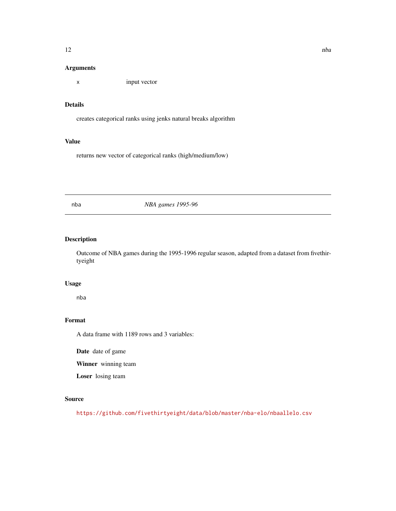### <span id="page-11-0"></span>Arguments

x input vector

#### Details

creates categorical ranks using jenks natural breaks algorithm

#### Value

returns new vector of categorical ranks (high/medium/low)

# nba *NBA games 1995-96*

# Description

Outcome of NBA games during the 1995-1996 regular season, adapted from a dataset from fivethirtyeight

# Usage

nba

#### Format

A data frame with 1189 rows and 3 variables:

Date date of game

Winner winning team

Loser losing team

# Source

<https://github.com/fivethirtyeight/data/blob/master/nba-elo/nbaallelo.csv>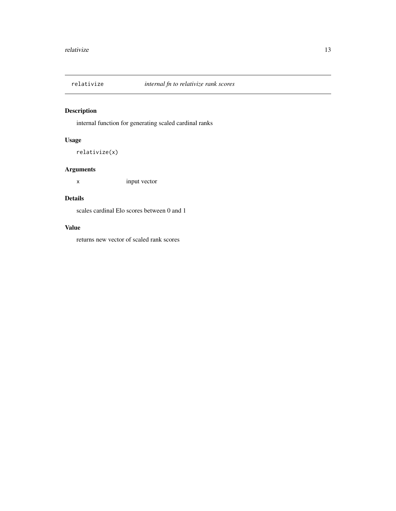<span id="page-12-0"></span>

internal function for generating scaled cardinal ranks

# Usage

relativize(x)

# Arguments

x input vector

# Details

scales cardinal Elo scores between 0 and 1

# Value

returns new vector of scaled rank scores